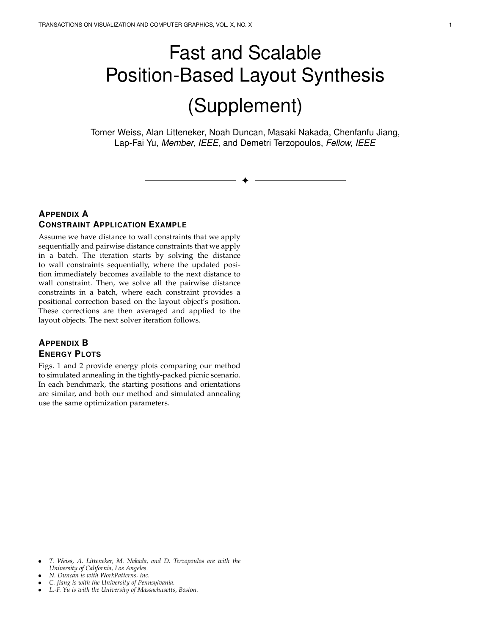## Fast and Scalable Position-Based Layout Synthesis (Supplement)

Tomer Weiss, Alan Litteneker, Noah Duncan, Masaki Nakada, Chenfanfu Jiang, Lap-Fai Yu, *Member, IEEE,* and Demetri Terzopoulos, *Fellow, IEEE*

✦

## **APPENDIX A CONSTRAINT APPLICATION EXAMPLE**

Assume we have distance to wall constraints that we apply sequentially and pairwise distance constraints that we apply in a batch. The iteration starts by solving the distance to wall constraints sequentially, where the updated position immediately becomes available to the next distance to wall constraint. Then, we solve all the pairwise distance constraints in a batch, where each constraint provides a positional correction based on the layout object's position. These corrections are then averaged and applied to the layout objects. The next solver iteration follows.

## **APPENDIX B ENERGY PLOTS**

Figs. 1 and 2 provide energy plots comparing our method to simulated annealing in the tightly-packed picnic scenario. In each benchmark, the starting positions and orientations are similar, and both our method and simulated annealing use the same optimization parameters.

• *C. Jiang is with the University of Pennsylvania.*

<sup>•</sup> *T. Weiss, A. Litteneker, M. Nakada, and D. Terzopoulos are with the University of California, Los Angeles.*

<sup>•</sup> *N. Duncan is with WorkPatterns, Inc.*

<sup>•</sup> *L.-F. Yu is with the University of Massachusetts, Boston.*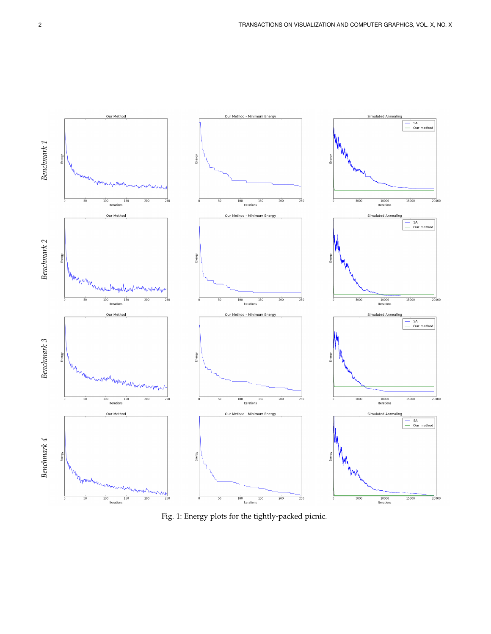

**Iterations** 

 $\frac{1}{100}$ 

Iteration

 $\frac{1}{150}$ 

 $500$ 

 $\overline{200}$